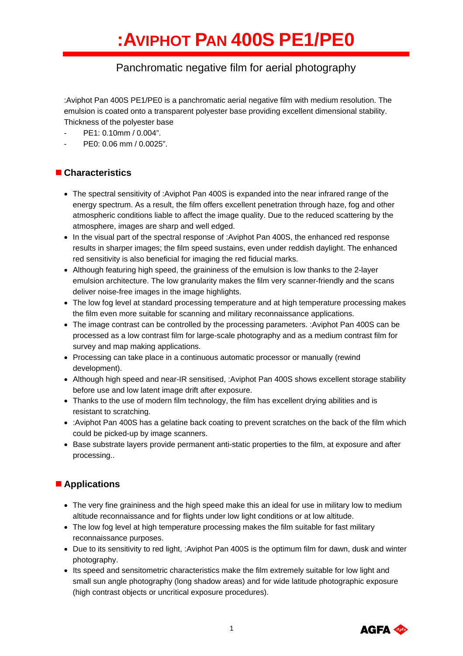# Panchromatic negative film for aerial photography

:Aviphot Pan 400S PE1/PE0 is a panchromatic aerial negative film with medium resolution. The emulsion is coated onto a transparent polyester base providing excellent dimensional stability. Thickness of the polyester base

- PE1: 0.10mm / 0.004".
- PE0: 0.06 mm / 0.0025".

# **Characteristics**

- The spectral sensitivity of :Aviphot Pan 400S is expanded into the near infrared range of the energy spectrum. As a result, the film offers excellent penetration through haze, fog and other atmospheric conditions liable to affect the image quality. Due to the reduced scattering by the atmosphere, images are sharp and well edged.
- In the visual part of the spectral response of :Aviphot Pan 400S, the enhanced red response results in sharper images; the film speed sustains, even under reddish daylight. The enhanced red sensitivity is also beneficial for imaging the red fiducial marks.
- Although featuring high speed, the graininess of the emulsion is low thanks to the 2-layer emulsion architecture. The low granularity makes the film very scanner-friendly and the scans deliver noise-free images in the image highlights.
- The low fog level at standard processing temperature and at high temperature processing makes the film even more suitable for scanning and military reconnaissance applications.
- The image contrast can be controlled by the processing parameters. :Aviphot Pan 400S can be processed as a low contrast film for large-scale photography and as a medium contrast film for survey and map making applications.
- Processing can take place in a continuous automatic processor or manually (rewind development).
- Although high speed and near-IR sensitised, :Aviphot Pan 400S shows excellent storage stability before use and low latent image drift after exposure.
- Thanks to the use of modern film technology, the film has excellent drying abilities and is resistant to scratching.
- :Aviphot Pan 400S has a gelatine back coating to prevent scratches on the back of the film which could be picked-up by image scanners.
- Base substrate layers provide permanent anti-static properties to the film, at exposure and after processing..

# **Applications**

- The very fine graininess and the high speed make this an ideal for use in military low to medium altitude reconnaissance and for flights under low light conditions or at low altitude.
- The low fog level at high temperature processing makes the film suitable for fast military reconnaissance purposes.
- Due to its sensitivity to red light, :Aviphot Pan 400S is the optimum film for dawn, dusk and winter photography.
- Its speed and sensitometric characteristics make the film extremely suitable for low light and small sun angle photography (long shadow areas) and for wide latitude photographic exposure (high contrast objects or uncritical exposure procedures).

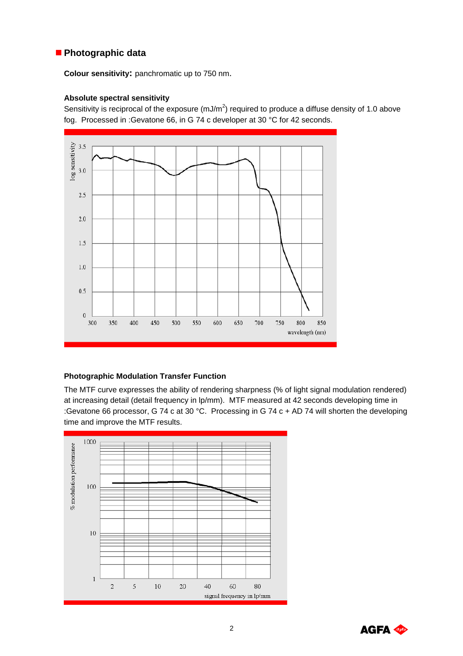# **Photographic data**

**Colour sensitivity:** panchromatic up to 750 nm.

#### **Absolute spectral sensitivity**

Sensitivity is reciprocal of the exposure (mJ/m<sup>2</sup>) required to produce a diffuse density of 1.0 above fog. Processed in :Gevatone 66, in G 74 c developer at 30 °C for 42 seconds.



### **Photographic Modulation Transfer Function**

The MTF curve expresses the ability of rendering sharpness (% of light signal modulation rendered) at increasing detail (detail frequency in lp/mm). MTF measured at 42 seconds developing time in :Gevatone 66 processor, G 74 c at 30 °C. Processing in G 74 c + AD 74 will shorten the developing time and improve the MTF results.



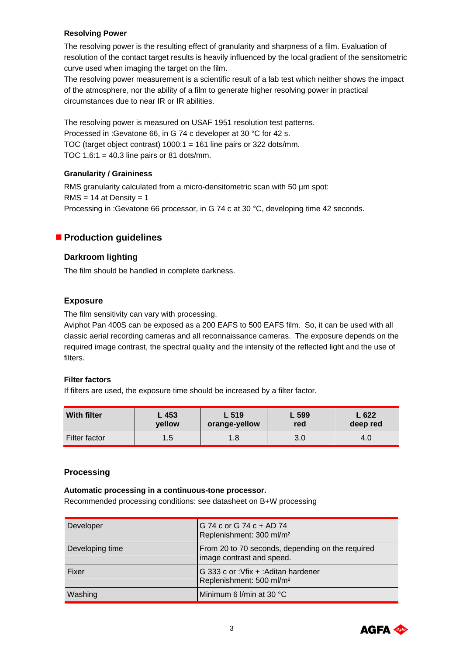#### **Resolving Power**

The resolving power is the resulting effect of granularity and sharpness of a film. Evaluation of resolution of the contact target results is heavily influenced by the local gradient of the sensitometric curve used when imaging the target on the film.

The resolving power measurement is a scientific result of a lab test which neither shows the impact of the atmosphere, nor the ability of a film to generate higher resolving power in practical circumstances due to near IR or IR abilities.

The resolving power is measured on USAF 1951 resolution test patterns. Processed in :Gevatone 66, in G 74 c developer at 30 °C for 42 s. TOC (target object contrast) 1000:1 = 161 line pairs or 322 dots/mm. TOC  $1,6:1 = 40.3$  line pairs or 81 dots/mm.

### **Granularity / Graininess**

RMS granularity calculated from a micro-densitometric scan with 50  $\mu$ m spot:  $RMS = 14$  at Density = 1 Processing in :Gevatone 66 processor, in G 74 c at 30 °C, developing time 42 seconds.

# **Production guidelines**

### **Darkroom lighting**

The film should be handled in complete darkness.

#### **Exposure**

The film sensitivity can vary with processing.

Aviphot Pan 400S can be exposed as a 200 EAFS to 500 EAFS film. So, it can be used with all classic aerial recording cameras and all reconnaissance cameras. The exposure depends on the required image contrast, the spectral quality and the intensity of the reflected light and the use of filters.

#### **Filter factors**

If filters are used, the exposure time should be increased by a filter factor.

| <b>With filter</b> | L 453  | L 519         | L 599 | L622     |
|--------------------|--------|---------------|-------|----------|
|                    | vellow | orange-yellow | red   | deep red |
| Filter factor      | 1.5    | .8            | 3.0   | 4.U      |

### **Processing**

#### **Automatic processing in a continuous-tone processor.**

Recommended processing conditions: see datasheet on B+W processing

| Developer       | G 74 c or G 74 c + AD 74<br>Replenishment: 300 ml/m <sup>2</sup>              |
|-----------------|-------------------------------------------------------------------------------|
| Developing time | From 20 to 70 seconds, depending on the required<br>image contrast and speed. |
| Fixer           | G 333 c or :Vfix + :Aditan hardener<br>Replenishment: 500 ml/m <sup>2</sup>   |
| Washing         | Minimum 6 I/min at 30 °C                                                      |

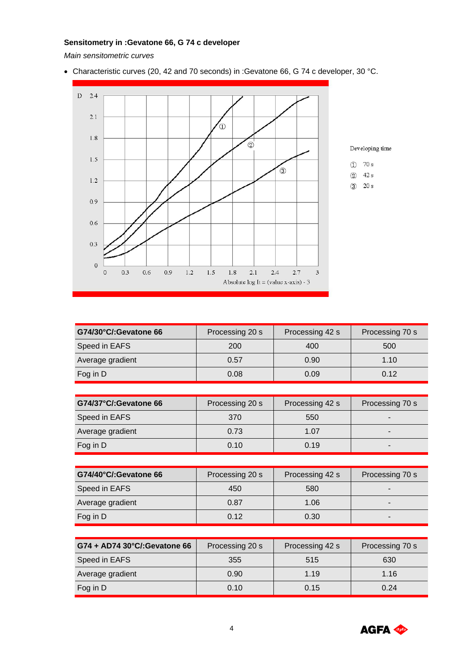### **Sensitometry in :Gevatone 66, G 74 c developer**

*Main sensitometric curves* 

• Characteristic curves (20, 42 and 70 seconds) in :Gevatone 66, G 74 c developer, 30 °C.



Developing time

 $\overline{O}$  70 s

2 42 s

 $(3)$  20 s

| G74/30°C/:Gevatone 66 | Processing 20 s | Processing 42 s | Processing 70 s |
|-----------------------|-----------------|-----------------|-----------------|
| Speed in EAFS         | 200             | 400             | 500             |
| Average gradient      | 0.57            | 0.90            | 1.10            |
| Fog in D              | 0.08            | 0.09            | 0.12            |
|                       |                 |                 |                 |
|                       |                 |                 |                 |
| G74/37°C/:Gevatone 66 | Processing 20 s | Processing 42 s | Processing 70 s |
| Speed in EAFS         | 370             | 550             |                 |
| Average gradient      | 0.73            | 1.07            |                 |
| Fog in D              | 0.10            | 0.19            |                 |

| G74/40°C/:Gevatone 66 | Processing 20 s | Processing 42 s | Processing 70 s          |
|-----------------------|-----------------|-----------------|--------------------------|
| Speed in EAFS         | 450             | 580             | $\overline{\phantom{a}}$ |
| Average gradient      | 0.87            | 1.06            | $\overline{\phantom{0}}$ |
| Fog in D              | 0.12            | 0.30            | $\blacksquare$           |

| G74 + AD74 30°C/:Gevatone 66 | Processing 20 s | Processing 42 s | Processing 70 s |  |
|------------------------------|-----------------|-----------------|-----------------|--|
| Speed in EAFS                | 355             | 515             | 630             |  |
| Average gradient             | 0.90            | 1.19            | 1.16            |  |
| Fog in D                     | 0.10            | 0.15            | 0.24            |  |

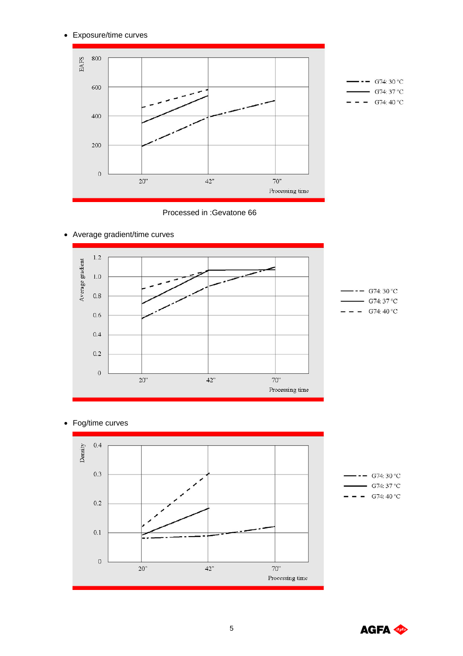• Exposure/time curves



Processed in :Gevatone 66



• Average gradient/time curves

• Fog/time curves



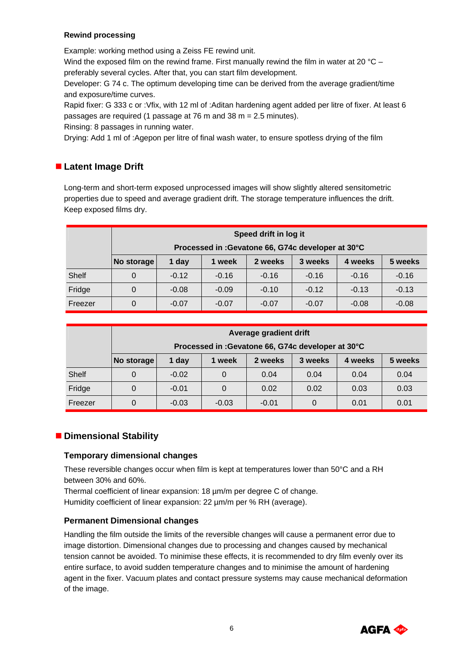#### **Rewind processing**

Example: working method using a Zeiss FE rewind unit.

Wind the exposed film on the rewind frame. First manually rewind the film in water at 20  $^{\circ}$ C – preferably several cycles. After that, you can start film development.

Developer: G 74 c. The optimum developing time can be derived from the average gradient/time and exposure/time curves.

Rapid fixer: G 333 c or :Vfix, with 12 ml of :Aditan hardening agent added per litre of fixer. At least 6 passages are required (1 passage at 76 m and 38 m = 2.5 minutes).

Rinsing: 8 passages in running water.

Drying: Add 1 ml of :Agepon per litre of final wash water, to ensure spotless drying of the film

# **Latent Image Drift**

Long-term and short-term exposed unprocessed images will show slightly altered sensitometric properties due to speed and average gradient drift. The storage temperature influences the drift. Keep exposed films dry.

|         | Speed drift in log it                              |         |         |         |         |         |         |
|---------|----------------------------------------------------|---------|---------|---------|---------|---------|---------|
|         | Processed in : Gevatone 66, G74c developer at 30°C |         |         |         |         |         |         |
|         | No storage                                         | 1 day   | 1 week  | 2 weeks | 3 weeks | 4 weeks | 5 weeks |
| Shelf   | 0                                                  | $-0.12$ | $-0.16$ | $-0.16$ | $-0.16$ | $-0.16$ | $-0.16$ |
| Fridge  | 0                                                  | $-0.08$ | $-0.09$ | $-0.10$ | $-0.12$ | $-0.13$ | $-0.13$ |
| Freezer | 0                                                  | $-0.07$ | $-0.07$ | $-0.07$ | $-0.07$ | $-0.08$ | $-0.08$ |

|         | Average gradient drift                             |         |          |         |         |         |         |
|---------|----------------------------------------------------|---------|----------|---------|---------|---------|---------|
|         | Processed in : Gevatone 66, G74c developer at 30°C |         |          |         |         |         |         |
|         | No storage                                         | 1 day   | 1 week   | 2 weeks | 3 weeks | 4 weeks | 5 weeks |
| Shelf   |                                                    | $-0.02$ | $\Omega$ | 0.04    | 0.04    | 0.04    | 0.04    |
| Fridge  |                                                    | $-0.01$ | $\Omega$ | 0.02    | 0.02    | 0.03    | 0.03    |
| Freezer |                                                    | $-0.03$ | $-0.03$  | $-0.01$ |         | 0.01    | 0.01    |

# **Dimensional Stability**

### **Temporary dimensional changes**

These reversible changes occur when film is kept at temperatures lower than 50°C and a RH between 30% and 60%.

Thermal coefficient of linear expansion: 18 µm/m per degree C of change. Humidity coefficient of linear expansion: 22 µm/m per % RH (average).

### **Permanent Dimensional changes**

Handling the film outside the limits of the reversible changes will cause a permanent error due to image distortion. Dimensional changes due to processing and changes caused by mechanical tension cannot be avoided. To minimise these effects, it is recommended to dry film evenly over its entire surface, to avoid sudden temperature changes and to minimise the amount of hardening agent in the fixer. Vacuum plates and contact pressure systems may cause mechanical deformation of the image.